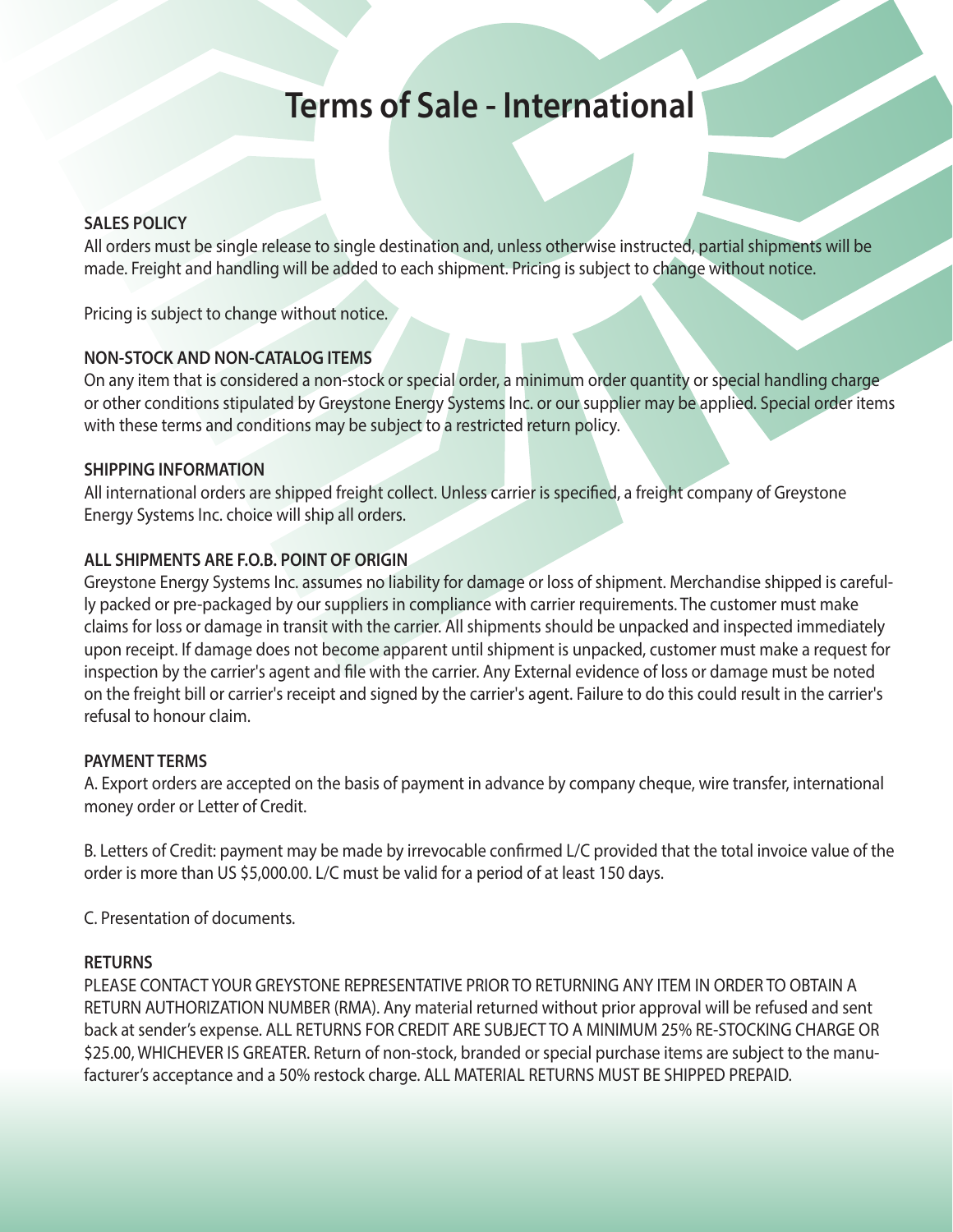# **Terms of Sale - International**

## **SALES POLICY**

All orders must be single release to single destination and, unless otherwise instructed, partial shipments will be made. Freight and handling will be added to each shipment. Pricing is subject to change without notice.

Pricing is subject to change without notice.

# **NON-STOCK AND NON-CATALOG ITEMS**

On any item that is considered a non-stock or special order, a minimum order quantity or special handling charge or other conditions stipulated by Greystone Energy Systems Inc. or our supplier may be applied. Special order items with these terms and conditions may be subject to a restricted return policy.

## **SHIPPING INFORMATION**

All international orders are shipped freight collect. Unless carrier is specified, a freight company of Greystone Energy Systems Inc. choice will ship all orders.

# **ALL SHIPMENTS ARE F.O.B. POINT OF ORIGIN**

Greystone Energy Systems Inc. assumes no liability for damage or loss of shipment. Merchandise shipped is carefully packed or pre-packaged by our suppliers in compliance with carrier requirements. The customer must make claims for loss or damage in transit with the carrier. All shipments should be unpacked and inspected immediately upon receipt. If damage does not become apparent until shipment is unpacked, customer must make a request for inspection by the carrier's agent and file with the carrier. Any External evidence of loss or damage must be noted on the freight bill or carrier's receipt and signed by the carrier's agent. Failure to do this could result in the carrier's refusal to honour claim.

# **PAYMENT TERMS**

A. Export orders are accepted on the basis of payment in advance by company cheque, wire transfer, international money order or Letter of Credit.

B. Letters of Credit: payment may be made by irrevocable confirmed L/C provided that the total invoice value of the order is more than US \$5,000.00. L/C must be valid for a period of at least 150 days.

C. Presentation of documents.

# **RETURNS**

PLEASE CONTACT YOUR GREYSTONE REPRESENTATIVE PRIOR TO RETURNING ANY ITEM IN ORDER TO OBTAIN A RETURN AUTHORIZATION NUMBER (RMA). Any material returned without prior approval will be refused and sent back at sender's expense. ALL RETURNS FOR CREDIT ARE SUBJECT TO A MINIMUM 25% RE-STOCKING CHARGE OR \$25.00, WHICHEVER IS GREATER. Return of non-stock, branded or special purchase items are subject to the manufacturer's acceptance and a 50% restock charge. ALL MATERIAL RETURNS MUST BE SHIPPED PREPAID.